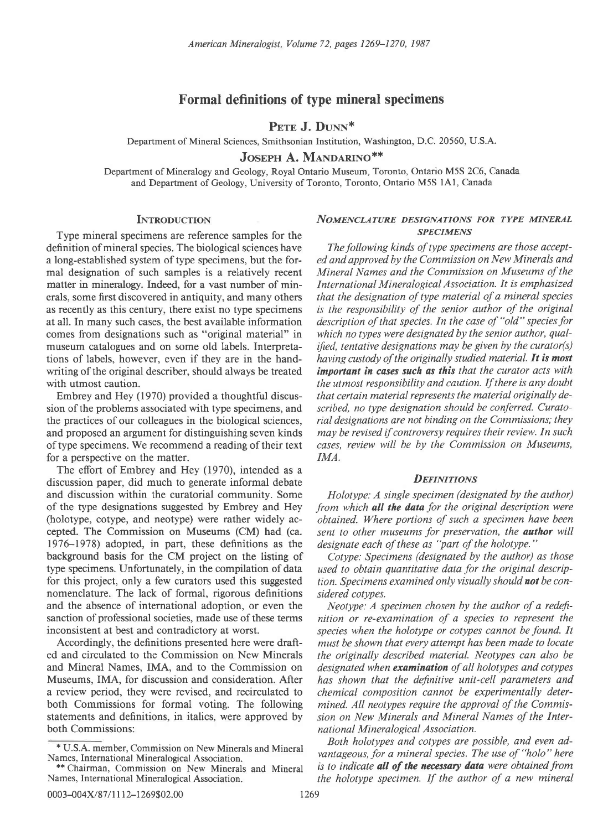## Formal definitions of type mineral specimens

PETE J. DUNN<sup>\*</sup>

Department of Mineral Sciences, Smithsonian Institution, Washington, D.C. 20560, U.S.A.

JOSEPH A. MANDARINO\*\*

Department of Mineralogy and Geology, Royal Ontario Museum, Toronto, Ontario M5S 2C6, Canada and Department of Geology, University of Toronto, Toronto, Ontario M5S lA1, Canada

Type mineral specimens are reference samples for the<br>
finition of mineral species. The biological sciences have The following kinds of type specimens are those acceptdefinition of mineral species. The biological sciences have The following kinds of type specimens are those accept-<br>a long-established system of type specimens, but the for- ed and approved by the Commission on New Mineral a long-established system of type specimens, but the for-

of type specimens. We recommend a reading of their text for a perspective on the matter. IMA.

The effort of Embrey and Hey (1970), intended as a discussion paper, did much to generate informal debate DEFINITIONS and discussion within the curatorial community. Some Holotype: A single specimen (designated by the author) of the type designations suggested by Embrey and Hey from which **all the data** for the original description were<br>(holotype, cotype, and neotype) were rather widely ac-<br>obtained. Where portions of such a specimen have been (holotype, cotype, and neotype) were rather widely accepted. The Commission on Museums (CM) had (ca. *sent to other museums for preservation, the author will 1976–1978) adopted, in part, these definitions as the <i>designate each of these as "part of the holotype."*  $1976-1978$ ) adopted, in part, these definitions as the background basis for the CM project on the listing of Cotype: Specimens (designated by the author) as those type specimens. Unfortunately, in the compilation of data used to obtain quantitative data for the original description this project, only a few curators used this suggested tion. Specimens examined only visually should no nomenclature. The lack of formal, rigorous definitions sidered cotypes. and the absence of international adoption, or even the Neotype: A specimen chosen by the author of a redefisanction of professional societies, made use of these terms nition or re-examination of a species to represent the

ed and circulated to the Commission on New Minerals the originally described material. Neotypes can also be and Mineral Names, IMA, and to the Commission on *designated when examination of all holotypes and cotypes* Museums, IMA, for discussion and consideration. After has shown that the definitive unit-cell parameters and a review period, they were revised, and recirculated to *chemical composition cannot be experimentally deter*both Commissions for formal voting. The following mined. All neotypes require the approval of the Commisstatements and definitions, in italics, were approved by sion on New Minerals and Mineral Names of the Interboth Commissions: national Mineralogical Association.

# INTRODUCTION NOMENCLATURE DESIGNATIONS FOR TYPE MINERAL

mal designation of such samples is a relatively recent Mineral Names and the Commission on Museums of the matter in mineralogy. Indeed, for a vast number of min- International Mineralogical Association. It is emphasized erals, some first discovered in antiquity, and many others that the designation of type material of a mineral species as recently as this century, there exist no type specimens is the responsibility of the senior author of the original at all. In many such cases, the best available information description of that species. In the case of "old" species for comes from designations such as "original material" in which no types were designated by the senior author, qualmuseum catalogues and on some old labels. Interpreta- *ified, tentative designations may be given by the curator(s)* tions of labels, however, even if they are in the hand- having custody of the originally studied material. It is most writing of the original describer, should always be treated important in cases such as this that the curator acts with with utmost caution. the utmost responsibility and caution. If there is any doubt Embrey and Hey (1970) provided a thoughtful discus-<br>that certain material represents the material verginally desion of the problems associated with type specimens, and scribed, no type designation should be conferred. Curatothe practices of our colleagues in the biological sciences, rial designations are not binding on the Commissions; they and proposed an argument for distinguishing seven kinds may be revised if controversy requires their review. In such of type specimens. We recommend a reading of their text cases, review will be by the Commission on Museum

tion. Specimens examined only visually should not be con-

inconsistent at best and contradictory at worst. *species when the holotype or cotypes cannot be found. It* Accordingly, the definitions presented here were draft-*must be shown that every attempt has been made to locate* must be shown that every attempt has been made to locate

> Both holotypes and cotypes are possible, and even advantageous, for a mineral species. The use of "holo" here is to indicate **all of the necessary data** were obtained from the holotype specimen. If the author of a new mineral

<sup>\*</sup> U.S.A. member, Commission on New Minerals and Mineral Names, International Mineralogical Association.

<sup>\*\*</sup> Chairman, Commission on New Minerals and Mineral Names, International Mineralogical Association.